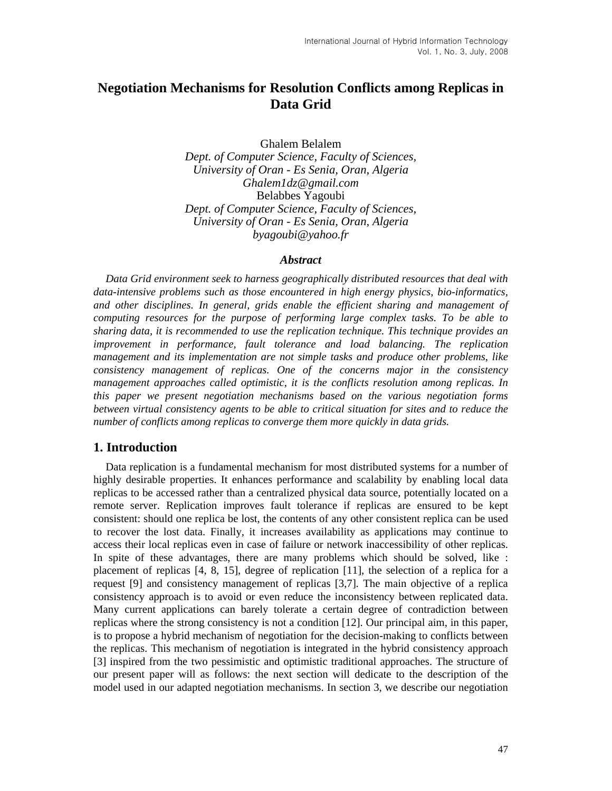# **Negotiation Mechanisms for Resolution Conflicts among Replicas in Data Grid**

Ghalem Belalem

*Dept. of Computer Science, Faculty of Sciences, University of Oran - Es Senia, Oran, Algeria Ghalem1dz@gmail.com*  Belabbes Yagoubi *Dept. of Computer Science, Faculty of Sciences, University of Oran - Es Senia, Oran, Algeria byagoubi@yahoo.fr* 

### *Abstract*

*Data Grid environment seek to harness geographically distributed resources that deal with data-intensive problems such as those encountered in high energy physics, bio-informatics, and other disciplines. In general, grids enable the efficient sharing and management of computing resources for the purpose of performing large complex tasks. To be able to sharing data, it is recommended to use the replication technique. This technique provides an improvement in performance, fault tolerance and load balancing. The replication management and its implementation are not simple tasks and produce other problems, like consistency management of replicas. One of the concerns major in the consistency management approaches called optimistic, it is the conflicts resolution among replicas. In this paper we present negotiation mechanisms based on the various negotiation forms between virtual consistency agents to be able to critical situation for sites and to reduce the number of conflicts among replicas to converge them more quickly in data grids.* 

## **1. Introduction**

Data replication is a fundamental mechanism for most distributed systems for a number of highly desirable properties. It enhances performance and scalability by enabling local data replicas to be accessed rather than a centralized physical data source, potentially located on a remote server. Replication improves fault tolerance if replicas are ensured to be kept consistent: should one replica be lost, the contents of any other consistent replica can be used to recover the lost data. Finally, it increases availability as applications may continue to access their local replicas even in case of failure or network inaccessibility of other replicas. In spite of these advantages, there are many problems which should be solved, like : placement of replicas [4, 8, 15], degree of replication [11], the selection of a replica for a request [9] and consistency management of replicas [3,7]. The main objective of a replica consistency approach is to avoid or even reduce the inconsistency between replicated data. Many current applications can barely tolerate a certain degree of contradiction between replicas where the strong consistency is not a condition [12]. Our principal aim, in this paper, is to propose a hybrid mechanism of negotiation for the decision-making to conflicts between the replicas. This mechanism of negotiation is integrated in the hybrid consistency approach [3] inspired from the two pessimistic and optimistic traditional approaches. The structure of our present paper will as follows: the next section will dedicate to the description of the model used in our adapted negotiation mechanisms. In section 3, we describe our negotiation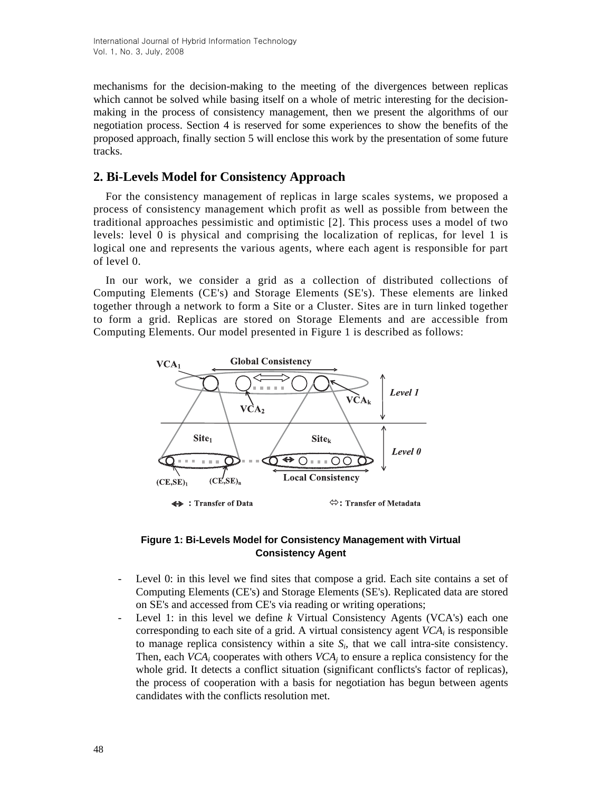mechanisms for the decision-making to the meeting of the divergences between replicas which cannot be solved while basing itself on a whole of metric interesting for the decisionmaking in the process of consistency management, then we present the algorithms of our negotiation process. Section 4 is reserved for some experiences to show the benefits of the proposed approach, finally section 5 will enclose this work by the presentation of some future tracks.

## **2. Bi-Levels Model for Consistency Approach**

For the consistency management of replicas in large scales systems, we proposed a process of consistency management which profit as well as possible from between the traditional approaches pessimistic and optimistic [2]. This process uses a model of two levels: level 0 is physical and comprising the localization of replicas, for level 1 is logical one and represents the various agents, where each agent is responsible for part of level 0.

In our work, we consider a grid as a collection of distributed collections of Computing Elements (CE's) and Storage Elements (SE's). These elements are linked together through a network to form a Site or a Cluster. Sites are in turn linked together to form a grid. Replicas are stored on Storage Elements and are accessible from Computing Elements. Our model presented in Figure 1 is described as follows:



#### **Figure 1: Bi-Levels Model for Consistency Management with Virtual Consistency Agent**

- Level 0: in this level we find sites that compose a grid. Each site contains a set of Computing Elements (CE's) and Storage Elements (SE's). Replicated data are stored on SE's and accessed from CE's via reading or writing operations;
- Level 1: in this level we define *k* Virtual Consistency Agents (VCA's) each one corresponding to each site of a grid. A virtual consistency agent  $VCA<sub>i</sub>$  is responsible to manage replica consistency within a site  $S_i$ , that we call intra-site consistency. Then, each  $VCA_i$  cooperates with others  $VCA_i$  to ensure a replica consistency for the whole grid. It detects a conflict situation (significant conflicts's factor of replicas), the process of cooperation with a basis for negotiation has begun between agents candidates with the conflicts resolution met.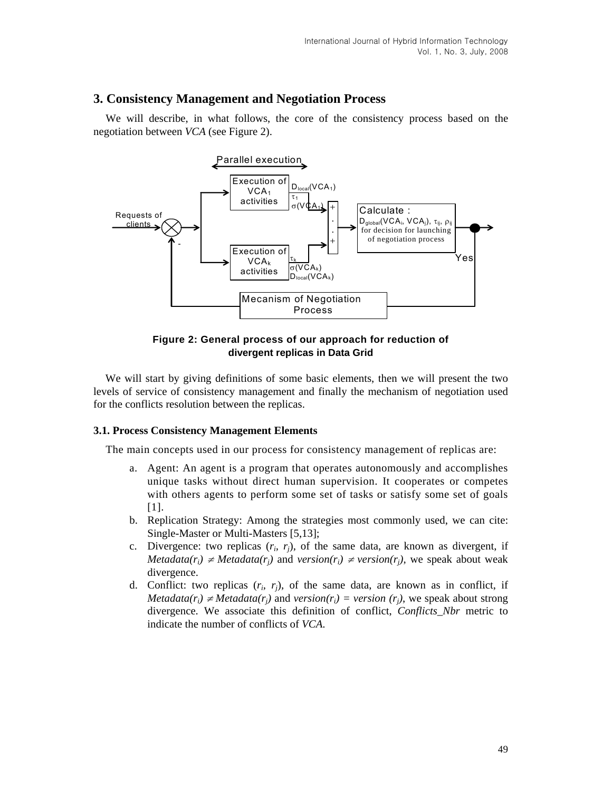# **3. Consistency Management and Negotiation Process**

We will describe, in what follows, the core of the consistency process based on the negotiation between *VCA* (see Figure 2).



**Figure 2: General process of our approach for reduction of divergent replicas in Data Grid** 

We will start by giving definitions of some basic elements, then we will present the two levels of service of consistency management and finally the mechanism of negotiation used for the conflicts resolution between the replicas.

#### **3.1. Process Consistency Management Elements**

The main concepts used in our process for consistency management of replicas are:

- a. Agent: An agent is a program that operates autonomously and accomplishes unique tasks without direct human supervision. It cooperates or competes with others agents to perform some set of tasks or satisfy some set of goals [1].
- b. Replication Strategy: Among the strategies most commonly used, we can cite: Single-Master or Multi-Masters [5,13];
- c. Divergence: two replicas  $(r_i, r_j)$ , of the same data, are known as divergent, if *Metadata(r<sub>i</sub>)*  $\neq$  *Metadata(r<sub>i</sub>)* and *version(r<sub>i</sub>)*  $\neq$  *version(r<sub>i</sub>)*, we speak about weak divergence.
- d. Conflict: two replicas  $(r_i, r_j)$ , of the same data, are known as in conflict, if *Metadata(r<sub>i</sub>)*  $\neq$ *Metadata(r<sub>i</sub>)* and *version(r<sub>i</sub>)* = *version (r<sub>i</sub>)*, we speak about strong divergence. We associate this definition of conflict, *Conflicts\_Nbr* metric to indicate the number of conflicts of *VCA*.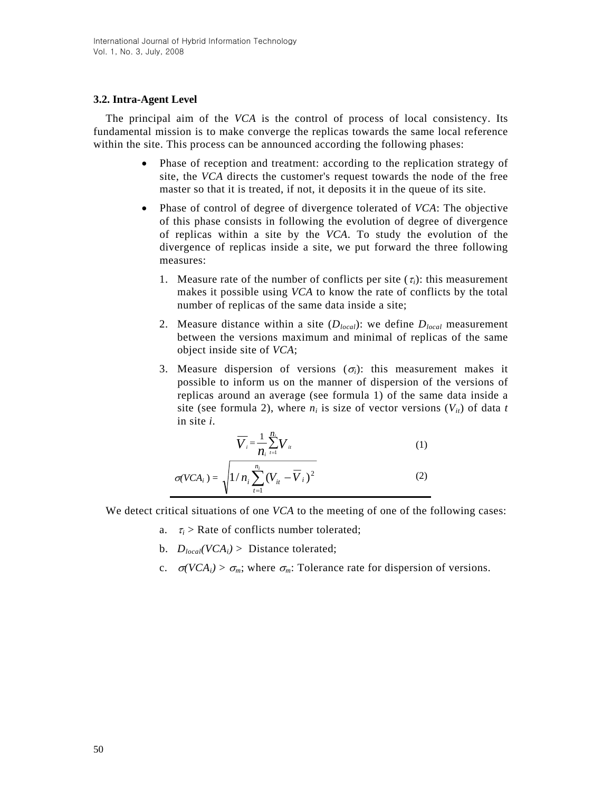## **3.2. Intra-Agent Level**

The principal aim of the *VCA* is the control of process of local consistency. Its fundamental mission is to make converge the replicas towards the same local reference within the site. This process can be announced according the following phases:

- Phase of reception and treatment: according to the replication strategy of site, the *VCA* directs the customer's request towards the node of the free master so that it is treated, if not, it deposits it in the queue of its site.
- Phase of control of degree of divergence tolerated of *VCA*: The objective of this phase consists in following the evolution of degree of divergence of replicas within a site by the *VCA*. To study the evolution of the divergence of replicas inside a site, we put forward the three following measures:
	- 1. Measure rate of the number of conflicts per site  $(\tau_i)$ : this measurement makes it possible using *VCA* to know the rate of conflicts by the total number of replicas of the same data inside a site;
	- 2. Measure distance within a site (*Dlocal*): we define *Dlocal* measurement between the versions maximum and minimal of replicas of the same object inside site of *VCA*;
	- 3. Measure dispersion of versions  $(\sigma_i)$ : this measurement makes it possible to inform us on the manner of dispersion of the versions of replicas around an average (see formula 1) of the same data inside a site (see formula 2), where  $n_i$  is size of vector versions  $(V_{it})$  of data *t* in site *i*.

$$
\overline{V}_i = \frac{1}{n_i} \sum_{i=1}^{n_i} V_{ii}
$$
 (1)

$$
\sigma(VCA_i) = \sqrt{1/n_i \sum_{t=1}^{n_i} (V_{it} - \overline{V}_{i})^2}
$$
 (2)

We detect critical situations of one *VCA* to the meeting of one of the following cases:

- a.  $\tau_i$  > Rate of conflicts number tolerated;
- b.  $D_{local}(VCA_i) >$  Distance tolerated;
- c.  $\sigma(VCA_i) > \sigma_m$ ; where  $\sigma_m$ : Tolerance rate for dispersion of versions.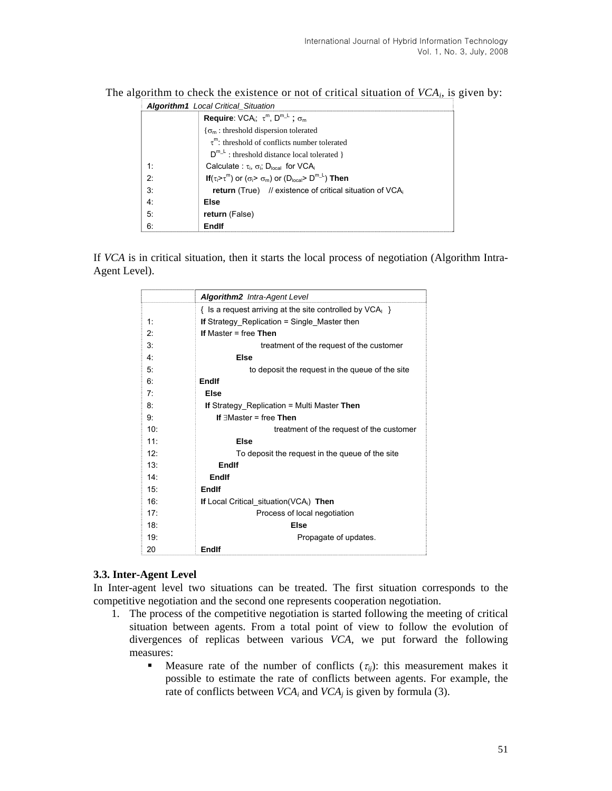|  |  |  | The algorithm to check the existence or not of critical situation of $VCAi$ , is given by: |  |  |  |  |  |  |
|--|--|--|--------------------------------------------------------------------------------------------|--|--|--|--|--|--|
|--|--|--|--------------------------------------------------------------------------------------------|--|--|--|--|--|--|

| Algorithm1 Local Critical_Situation |                                                                                      |  |  |
|-------------------------------------|--------------------------------------------------------------------------------------|--|--|
|                                     | <b>Require:</b> VCA <sub>i</sub> ; $\tau^m$ , $D^{m-1}$ ; $\sigma_m$                 |  |  |
|                                     | $\{\sigma_m:$ threshold dispersion tolerated                                         |  |  |
|                                     | $\tau^m$ : threshold of conflicts number tolerated                                   |  |  |
|                                     | $D^{m_{-L}}$ : threshold distance local tolerated }                                  |  |  |
| 1:                                  | Calculate: $\tau_i$ , $\sigma_i$ : D <sub>local</sub> for VCA <sub>i</sub>           |  |  |
| 2:                                  | If $(\tau_i > \tau^m)$ or $(\sigma_i > \sigma_m)$ or $(D_{local} > D^{m_{-i}})$ Then |  |  |
| 3:                                  | <b>return</b> (True) // existence of critical situation of $VCA_i$                   |  |  |
| 4:                                  | Else                                                                                 |  |  |
| 5:                                  | return (False)                                                                       |  |  |
| 6:                                  | Endlf                                                                                |  |  |

If *VCA* is in critical situation, then it starts the local process of negotiation (Algorithm Intra-Agent Level).

|                 | <b>Algorithm2</b> Intra-Agent Level                      |  |  |
|-----------------|----------------------------------------------------------|--|--|
|                 | $\{$ is a request arriving at the site controlled by VCA |  |  |
| 1:              | If Strategy_Replication = Single_Master then             |  |  |
| 2.5             | If Master $=$ free Then                                  |  |  |
| 3:              | treatment of the request of the customer                 |  |  |
| 4:              | <b>Else</b>                                              |  |  |
| 5:              | to deposit the request in the queue of the site          |  |  |
| 6.              | Endlf                                                    |  |  |
| 7:              | <b>Else</b>                                              |  |  |
| 8:              | <b>If</b> Strategy Replication = Multi Master Then       |  |  |
| g.              | If $\exists$ Master = free Then                          |  |  |
| 10 <sup>1</sup> | treatment of the request of the customer                 |  |  |
| 11              | Else                                                     |  |  |
| 12.             | To deposit the request in the queue of the site          |  |  |
| 13:             | Endlf                                                    |  |  |
| 14 <sup>·</sup> | Endlf                                                    |  |  |
| 15 <sup>·</sup> | Endlf                                                    |  |  |
| 16 <sup>1</sup> | If Local Critical situation(VCA <sub>i</sub> ) Then      |  |  |
| 17:             | Process of local negotiation                             |  |  |
| 18:             | <b>Else</b>                                              |  |  |
| 19:             | Propagate of updates.                                    |  |  |
| 20              | Endlf                                                    |  |  |

#### **3.3. Inter-Agent Level**

In Inter-agent level two situations can be treated. The first situation corresponds to the competitive negotiation and the second one represents cooperation negotiation.

- 1. The process of the competitive negotiation is started following the meeting of critical situation between agents. From a total point of view to follow the evolution of divergences of replicas between various *VCA*, we put forward the following measures:
	- **Measure rate of the number of conflicts**  $(\tau_{ij})$ **: this measurement makes it** possible to estimate the rate of conflicts between agents. For example, the rate of conflicts between  $VCA_i$  and  $VCA_j$  is given by formula (3).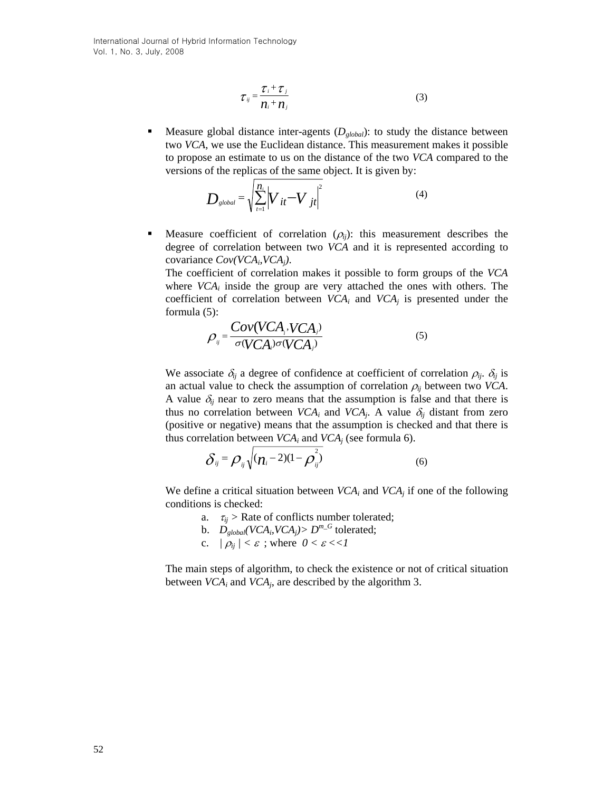International Journal of Hybrid Information Technology Vol. 1, No. 3, July, 2008

$$
\tau_{ij} = \frac{\tau_i + \tau_j}{n_i + n_j} \tag{3}
$$

Measure global distance inter-agents  $(D_{global})$ : to study the distance between two *VCA*, we use the Euclidean distance. This measurement makes it possible to propose an estimate to us on the distance of the two *VCA* compared to the versions of the replicas of the same object. It is given by:

$$
D_{\text{global}} = \sqrt{\sum_{t=1}^{n_i} \left| V_{it} - V_{jt} \right|^2}
$$
 (4)

Measure coefficient of correlation  $(\rho_{ij})$ : this measurement describes the degree of correlation between two *VCA* and it is represented according to covariance *Cov(VCAi,VCAj)*.

The coefficient of correlation makes it possible to form groups of the *VCA* where  $VCA_i$  inside the group are very attached the ones with others. The coefficient of correlation between  $VCA_i$  and  $VCA_j$  is presented under the formula (5):

$$
\rho_{ij} = \frac{Cov(VCA_i, VCA_j)}{\sigma(VCA_i)\sigma(VCA_j)}
$$
\n(5)

We associate  $\delta_{ij}$  a degree of confidence at coefficient of correlation  $\rho_{ij}$ .  $\delta_{ij}$  is an actual value to check the assumption of correlation  $\rho_{ij}$  between two *VCA*. A value  $\delta_{ij}$  near to zero means that the assumption is false and that there is thus no correlation between *VCA<sub>i</sub>* and *VCA<sub>i</sub>*. A value  $\delta_{ij}$  distant from zero (positive or negative) means that the assumption is checked and that there is thus correlation between  $VCA_i$  and  $VCA_j$  (see formula 6).

$$
\delta_{ij} = \rho_{ij} \sqrt{(n_i - 2)(1 - \rho_{ij}^2)}
$$
 (6)

We define a critical situation between  $VCA_i$  and  $VCA_j$  if one of the following conditions is checked:

- a.  $\tau_{ii}$  > Rate of conflicts number tolerated;
- b.  $D_{global}(VCA_i,VCA_j) > D^{m-G}$  tolerated;
- c.  $|\rho_{ij}| < \varepsilon$ ; where  $0 < \varepsilon < 1$

The main steps of algorithm, to check the existence or not of critical situation between  $VCA_i$  and  $VCA_j$ , are described by the algorithm 3.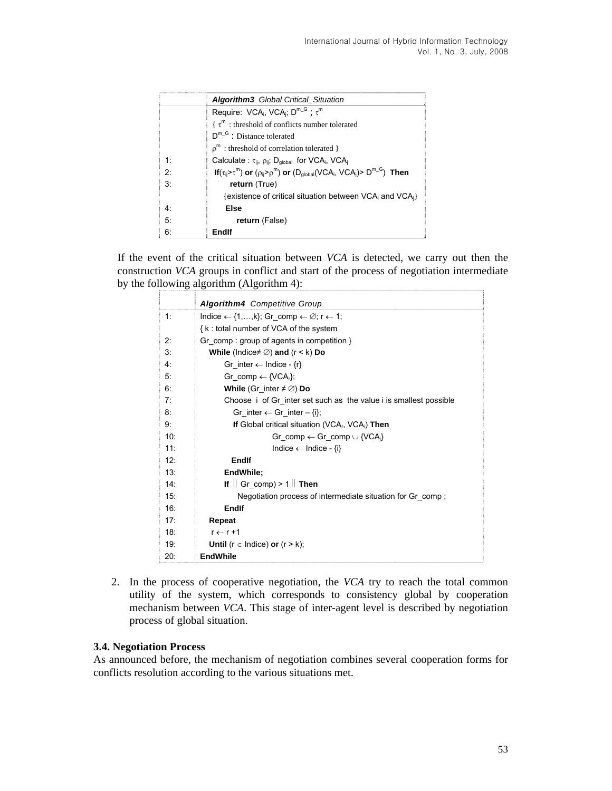|    | <b>Algorithm3</b> Global Critical Situation                                                        |  |  |
|----|----------------------------------------------------------------------------------------------------|--|--|
|    | Require: VCA <sub>i</sub> , VCA <sub>i</sub> ; $D^{m-G}$ ; $\tau^m$                                |  |  |
|    | $\{\tau^m:$ threshold of conflicts number tolerated                                                |  |  |
|    | $D^{m-G}$ : Distance tolerated                                                                     |  |  |
|    | $\rho^m$ : threshold of correlation tolerated }                                                    |  |  |
| 1. | Calculate: $\tau_{ii}$ , $\rho_{ii}$ ; D <sub>alobal</sub> for VCA <sub>i</sub> , VCA <sub>i</sub> |  |  |
| ヮ・ | If $(\tau_{ij} > \tau^m)$ or $(\rho_{ij} > \rho^m)$ or $(D_{global}(VCA_i, VCA_i) > D^{m-G})$ Then |  |  |
| 3: | return (True)                                                                                      |  |  |
|    | {existence of critical situation between VCA; and VCA;}                                            |  |  |
| 4: | Else                                                                                               |  |  |
| 5: | return (False)                                                                                     |  |  |
| 6: | Endlf                                                                                              |  |  |

If the event of the critical situation between *VCA* is detected, we carry out then the construction *VCA* groups in conflict and start of the process of negotiation intermediate by the following algorithm (Algorithm 4):

|     | Algorithm4 Competitive Group                                                   |
|-----|--------------------------------------------------------------------------------|
| 1:  | Indice $\leftarrow$ {1,,k}; Gr comp $\leftarrow \emptyset$ ; r $\leftarrow$ 1; |
|     | {k: total number of VCA of the system                                          |
| 2:  | Gr_comp : group of agents in competition }                                     |
| 3:  | While (Indice $\neq \emptyset$ ) and (r < k) Do                                |
| 4:  | Gr inter $\leftarrow$ Indice - $\{r\}$                                         |
| 5:  | Gr comp $\leftarrow \{VCA_r\}$ ;                                               |
| 6:  | While (Gr_inter $\neq \emptyset$ ) Do                                          |
| 7:  | Choose i of Gr inter set such as the value i is smallest possible              |
| 8:  | Gr inter $\leftarrow$ Gr inter $-\{i\}$ ;                                      |
| 9:  | If Global critical situation (VCA <sub>r</sub> , VCA <sub>i</sub> ) Then       |
| 10: | Gr comp $\leftarrow$ Gr comp $\cup$ {VCA <sub>i</sub> }                        |
| 11: | Indice $\leftarrow$ Indice - $\{i\}$                                           |
| 12: | Endlf                                                                          |
| 13: | EndWhile:                                                                      |
| 14: | If $\parallel$ Gr_comp) > 1 $\parallel$ Then                                   |
| 15: | Negotiation process of intermediate situation for Gr_comp;                     |
| 16: | Endlf                                                                          |
| 17: | Repeat                                                                         |
| 18: | $r \leftarrow r + 1$                                                           |
| 19: | <b>Until</b> ( $r \in$ Indice) <b>or</b> ( $r > k$ );                          |
| 20: | <b>EndWhile</b>                                                                |

2. In the process of cooperative negotiation, the *VCA* try to reach the total common utility of the system, which corresponds to consistency global by cooperation mechanism between *VCA*. This stage of inter-agent level is described by negotiation process of global situation.

## **3.4. Negotiation Process**

As announced before, the mechanism of negotiation combines several cooperation forms for conflicts resolution according to the various situations met.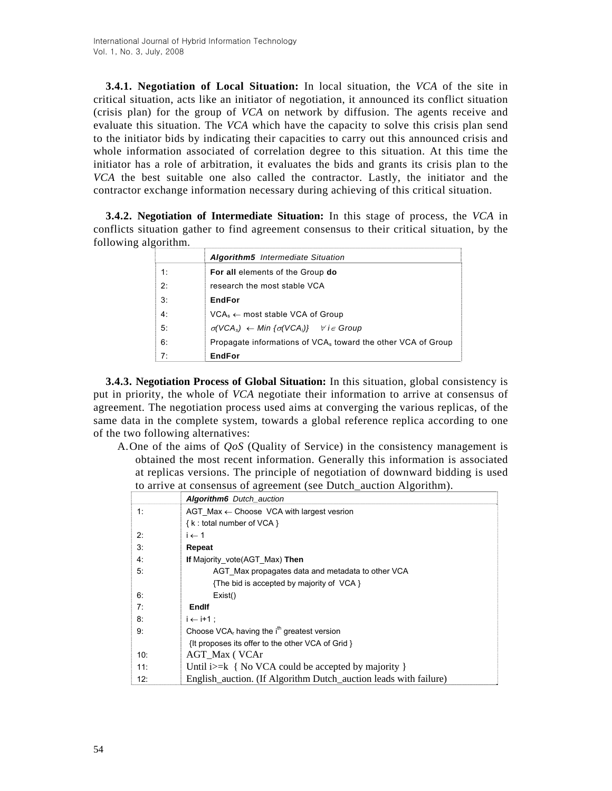**3.4.1. Negotiation of Local Situation:** In local situation, the *VCA* of the site in critical situation, acts like an initiator of negotiation, it announced its conflict situation (crisis plan) for the group of *VCA* on network by diffusion. The agents receive and evaluate this situation. The *VCA* which have the capacity to solve this crisis plan send to the initiator bids by indicating their capacities to carry out this announced crisis and whole information associated of correlation degree to this situation. At this time the initiator has a role of arbitration, it evaluates the bids and grants its crisis plan to the *VCA* the best suitable one also called the contractor. Lastly, the initiator and the contractor exchange information necessary during achieving of this critical situation.

**3.4.2. Negotiation of Intermediate Situation:** In this stage of process, the *VCA* in conflicts situation gather to find agreement consensus to their critical situation, by the following algorithm.

|    | <b>Algorithm5</b> Intermediate Situation                                 |  |  |  |
|----|--------------------------------------------------------------------------|--|--|--|
| 1: | For all elements of the Group do                                         |  |  |  |
| 2: | research the most stable VCA                                             |  |  |  |
| 3: | <b>EndFor</b>                                                            |  |  |  |
| 4: | $VCA_s \leftarrow$ most stable VCA of Group                              |  |  |  |
| 5: | $\sigma(VCA_s) \leftarrow Min \{\sigma(VCA_i)\}$ $\forall i \in Group$   |  |  |  |
| 6: | Propagate informations of VCA <sub>s</sub> toward the other VCA of Group |  |  |  |
| 7: | <b>EndFor</b>                                                            |  |  |  |

**3.4.3. Negotiation Process of Global Situation:** In this situation, global consistency is put in priority, the whole of *VCA* negotiate their information to arrive at consensus of agreement. The negotiation process used aims at converging the various replicas, of the same data in the complete system, towards a global reference replica according to one of the two following alternatives:

A.One of the aims of *QoS* (Quality of Service) in the consistency management is obtained the most recent information. Generally this information is associated at replicas versions. The principle of negotiation of downward bidding is used to arrive at consensus of agreement (see Dutch\_auction Algorithm).

|     | <b>Algorithm6</b> Dutch auction                                  |
|-----|------------------------------------------------------------------|
| 1:  | AGT Max $\leftarrow$ Choose VCA with largest vesrion             |
|     | {k: total number of VCA }                                        |
| 2:  | $i \leftarrow 1$                                                 |
| 3:  | Repeat                                                           |
| 4:  | If Majority vote(AGT Max) Then                                   |
| 5:  | AGT Max propagates data and metadata to other VCA                |
|     | {The bid is accepted by majority of VCA }                        |
| 6:  | Exist()                                                          |
| 7:  | Endlf                                                            |
| 8:  | $i \leftarrow i+1$ :                                             |
| 9:  | Choose $VCAr$ having the i <sup>th</sup> greatest version        |
|     | {It proposes its offer to the other VCA of Grid }                |
| 10: | AGT Max (VCAr                                                    |
| 11: | Until $i>=k \{ No VCA \text{ could be accepted by majority } \}$ |
| 12: | English_auction. (If Algorithm Dutch_auction leads with failure) |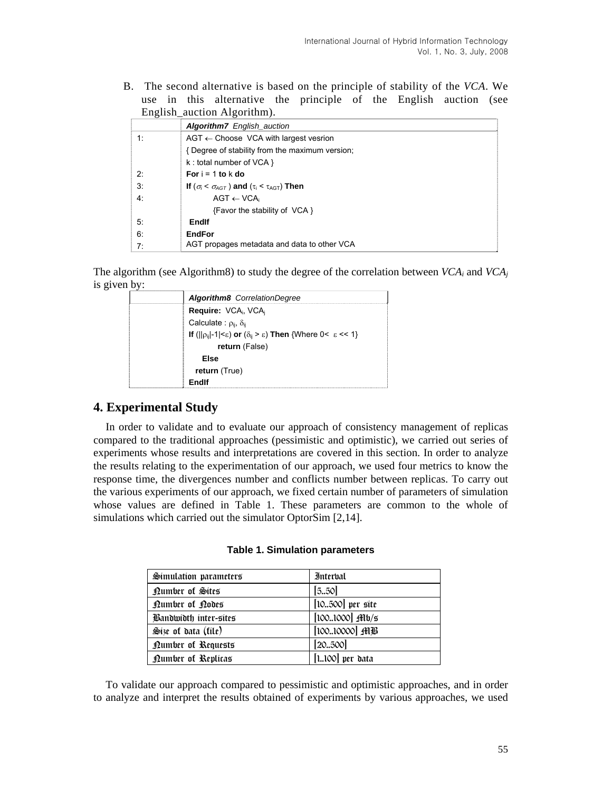B. The second alternative is based on the principle of stability of the *VCA*. We use in this alternative the principle of the English auction (see English auction Algorithm).

|    | <b>Algorithm7</b> English auction                                   |
|----|---------------------------------------------------------------------|
| 1: | $AGT \leftarrow$ Choose VCA with largest vesrion                    |
|    | { Degree of stability from the maximum version;                     |
|    | $k:$ total number of VCA $\}$                                       |
| 2: | For $i = 1$ to $k$ do                                               |
| 3: | If ( $\sigma_i < \sigma_{AGT}$ ) and ( $\tau_i < \tau_{AGT}$ ) Then |
| 4: | $AGT \leftarrow VCA_i$                                              |
|    | {Favor the stability of VCA }                                       |
| 5: | Endlf                                                               |
| 6: | <b>EndFor</b>                                                       |
| 7: | AGT propages metadata and data to other VCA                         |

The algorithm (see Algorithm8) to study the degree of the correlation between *VCA<sub>i</sub>* and *VCA<sub>i</sub>* is given by:

| Algorithm8 CorrelationDegree                                                                             |
|----------------------------------------------------------------------------------------------------------|
| Require: VCA <sub>i</sub> , VCA <sub>i</sub>                                                             |
| Calculate: $\rho_{ii}$ , $\delta_{ii}$                                                                   |
| If ( $  \rho_{ij} -1 <\varepsilon$ ) or $(\delta_{ij} > \varepsilon)$ Then {Where 0< $\varepsilon$ << 1} |
| return (False)                                                                                           |
| Else                                                                                                     |
| return (True)                                                                                            |
| Fndlf                                                                                                    |

# **4. Experimental Study**

In order to validate and to evaluate our approach of consistency management of replicas compared to the traditional approaches (pessimistic and optimistic), we carried out series of experiments whose results and interpretations are covered in this section. In order to analyze the results relating to the experimentation of our approach, we used four metrics to know the response time, the divergences number and conflicts number between replicas. To carry out the various experiments of our approach, we fixed certain number of parameters of simulation whose values are defined in Table 1. These parameters are common to the whole of simulations which carried out the simulator OptorSim [2,14].

| Simulation parameters     | Interbal                  |
|---------------------------|---------------------------|
| Qumber of Sites           | [5.50]                    |
| Number of Nodes           | $[10500]$ per site        |
| Bandwidth inter-sites     | $[1001000]$ fflb/s        |
| Size of data (file)       | $[10010000]$ $\text{HIB}$ |
| <b>Dumber of Requests</b> | [20.500]                  |
| <b>Dumber of Replicas</b> | $[1100]$ per data         |

**Table 1. Simulation parameters**

To validate our approach compared to pessimistic and optimistic approaches, and in order to analyze and interpret the results obtained of experiments by various approaches, we used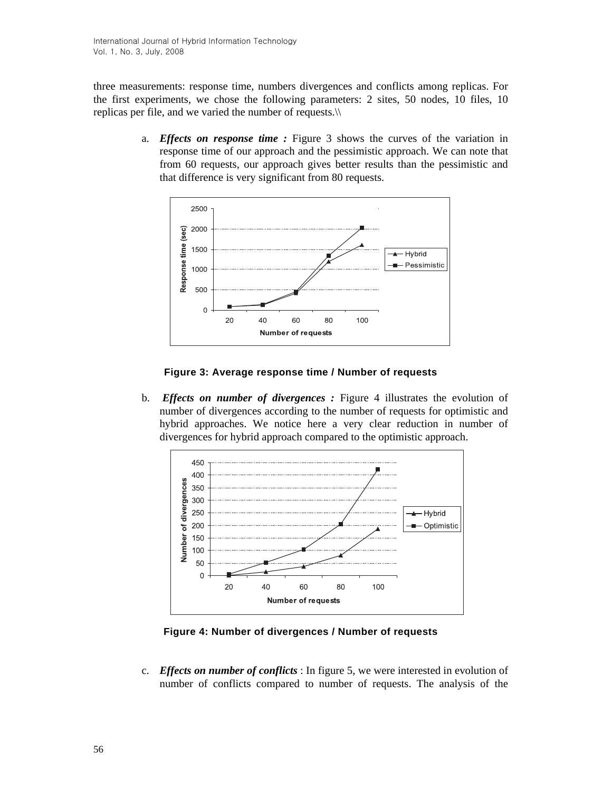three measurements: response time, numbers divergences and conflicts among replicas. For the first experiments, we chose the following parameters: 2 sites, 50 nodes, 10 files, 10 replicas per file, and we varied the number of requests.\\

> a. *Effects on response time :* Figure 3 shows the curves of the variation in response time of our approach and the pessimistic approach. We can note that from 60 requests, our approach gives better results than the pessimistic and that difference is very significant from 80 requests.



### **Figure 3: Average response time / Number of requests**

b. *Effects on number of divergences :* Figure 4 illustrates the evolution of number of divergences according to the number of requests for optimistic and hybrid approaches. We notice here a very clear reduction in number of divergences for hybrid approach compared to the optimistic approach.



**Figure 4: Number of divergences / Number of requests**

c. *Effects on number of conflicts* : In figure 5, we were interested in evolution of number of conflicts compared to number of requests. The analysis of the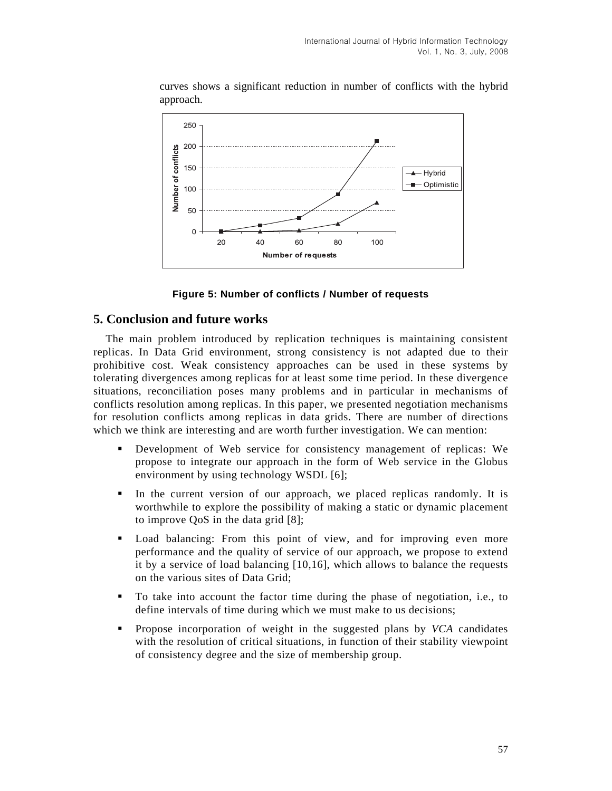

curves shows a significant reduction in number of conflicts with the hybrid approach.



## **5. Conclusion and future works**

The main problem introduced by replication techniques is maintaining consistent replicas. In Data Grid environment, strong consistency is not adapted due to their prohibitive cost. Weak consistency approaches can be used in these systems by tolerating divergences among replicas for at least some time period. In these divergence situations, reconciliation poses many problems and in particular in mechanisms of conflicts resolution among replicas. In this paper, we presented negotiation mechanisms for resolution conflicts among replicas in data grids. There are number of directions which we think are interesting and are worth further investigation. We can mention:

- Development of Web service for consistency management of replicas: We propose to integrate our approach in the form of Web service in the Globus environment by using technology WSDL [6];
- In the current version of our approach, we placed replicas randomly. It is worthwhile to explore the possibility of making a static or dynamic placement to improve QoS in the data grid [8];
- Load balancing: From this point of view, and for improving even more performance and the quality of service of our approach, we propose to extend it by a service of load balancing [10,16], which allows to balance the requests on the various sites of Data Grid;
- To take into account the factor time during the phase of negotiation, i.e., to define intervals of time during which we must make to us decisions;
- Propose incorporation of weight in the suggested plans by *VCA* candidates with the resolution of critical situations, in function of their stability viewpoint of consistency degree and the size of membership group.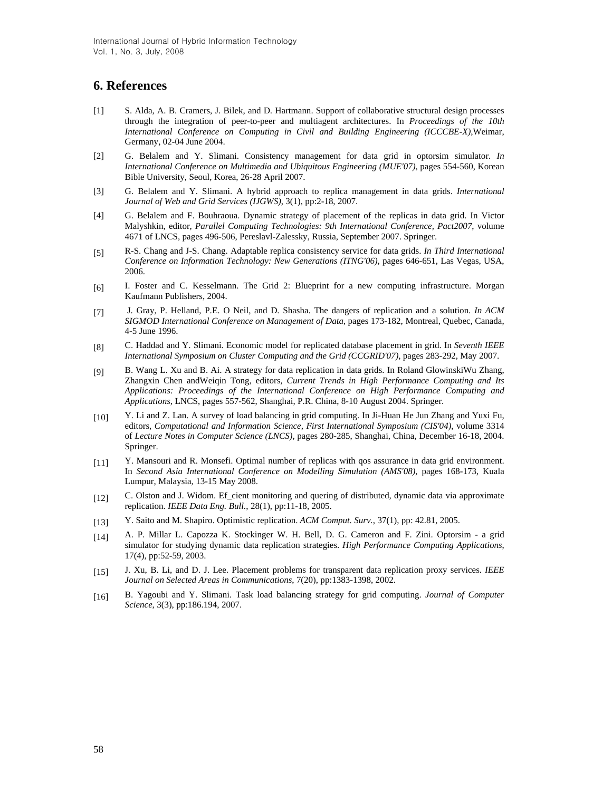## **6. References**

- [1] S. Alda, A. B. Cramers, J. Bilek, and D. Hartmann. Support of collaborative structural design processes through the integration of peer-to-peer and multiagent architectures. In *Proceedings of the 10th International Conference on Computing in Civil and Building Engineering (ICCCBE-X)*,Weimar, Germany, 02-04 June 2004.
- [2] G. Belalem and Y. Slimani. Consistency management for data grid in optorsim simulator. *In International Conference on Multimedia and Ubiquitous Engineering (MUE'07)*, pages 554-560, Korean Bible University, Seoul, Korea, 26-28 April 2007.
- [3] G. Belalem and Y. Slimani. A hybrid approach to replica management in data grids. *International Journal of Web and Grid Services (IJGWS)*, 3(1), pp:2-18, 2007.
- [4] G. Belalem and F. Bouhraoua. Dynamic strategy of placement of the replicas in data grid. In Victor Malyshkin, editor, *Parallel Computing Technologies: 9th International Conference, Pact2007*, volume 4671 of LNCS, pages 496-506, Pereslavl-Zalessky, Russia, September 2007. Springer.
- [5] R-S. Chang and J-S. Chang. Adaptable replica consistency service for data grids. *In Third International Conference on Information Technology: New Generations (ITNG'06)*, pages 646-651, Las Vegas, USA, 2006.
- [6] I. Foster and C. Kesselmann. The Grid 2: Blueprint for a new computing infrastructure. Morgan Kaufmann Publishers, 2004.
- [7] J. Gray, P. Helland, P.E. O Neil, and D. Shasha. The dangers of replication and a solution. *In ACM SIGMOD International Conference on Management of Data*, pages 173-182, Montreal, Quebec, Canada, 4-5 June 1996.
- [8] C. Haddad and Y. Slimani. Economic model for replicated database placement in grid. In *Seventh IEEE International Symposium on Cluster Computing and the Grid (CCGRID'07)*, pages 283-292, May 2007.
- [9] B. Wang L. Xu and B. Ai. A strategy for data replication in data grids. In Roland GlowinskiWu Zhang, Zhangxin Chen andWeiqin Tong, editors, *Current Trends in High Performance Computing and Its Applications: Proceedings of the International Conference on High Performance Computing and Applications*, LNCS, pages 557-562, Shanghai, P.R. China, 8-10 August 2004. Springer.
- [10] Y. Li and Z. Lan. A survey of load balancing in grid computing. In Ji-Huan He Jun Zhang and Yuxi Fu, editors, *Computational and Information Science, First International Symposium (CIS'04)*, volume 3314 of *Lecture Notes in Computer Science (LNCS)*, pages 280-285, Shanghai, China, December 16-18, 2004. Springer.
- [11] Y. Mansouri and R. Monsefi. Optimal number of replicas with qos assurance in data grid environment. In *Second Asia International Conference on Modelling Simulation (AMS'08)*, pages 168-173, Kuala Lumpur, Malaysia, 13-15 May 2008.
- [12] C. Olston and J. Widom. Ef\_cient monitoring and quering of distributed, dynamic data via approximate replication. *IEEE Data Eng. Bull.*, 28(1), pp:11-18, 2005.
- [13] Y. Saito and M. Shapiro. Optimistic replication. *ACM Comput. Surv.*, 37(1), pp: 42.81, 2005.
- [14] A. P. Millar L. Capozza K. Stockinger W. H. Bell, D. G. Cameron and F. Zini. Optorsim a grid simulator for studying dynamic data replication strategies. *High Performance Computing Applications*, 17(4), pp:52-59, 2003.
- [15] J. Xu, B. Li, and D. J. Lee. Placement problems for transparent data replication proxy services. *IEEE Journal on Selected Areas in Communications*, 7(20), pp:1383-1398, 2002.
- [16] B. Yagoubi and Y. Slimani. Task load balancing strategy for grid computing. *Journal of Computer Science*, 3(3), pp:186.194, 2007.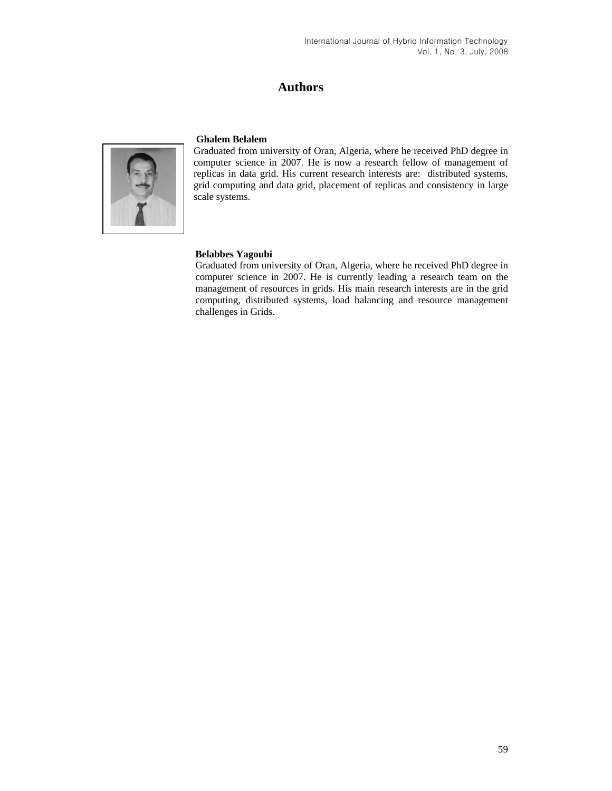# **Authors**



#### **Ghalem Belalem**

Graduated from university of Oran, Algeria, where he received PhD degree in computer science in 2007. He is now a research fellow of management of replicas in data grid. His current research interests are: distributed systems, grid computing and data grid, placement of replicas and consistency in large scale systems.

#### **Belabbes Yagoubi**

Graduated from university of Oran, Algeria, where he received PhD degree in computer science in 2007. He is currently leading a research team on the management of resources in grids. His main research interests are in the grid computing, distributed systems, load balancing and resource management challenges in Grids.